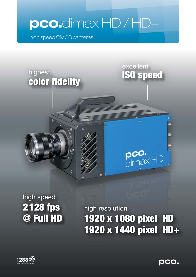# **pco.**dimax HD / HD+

high speed CMOS cameras

### highest **ISO speed** color fidelity

Ò

excellent

ô.

 $\textrm{pc0.}$ dimax $\textrm{HD}$ 

## high speed 2 128 fps @ Full HD

high resolution 1920 x 1080 pixel HD 1920 x 1440 pixel HD+



**pco.**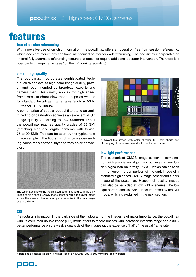## features

### **free of session referencing**

With innovative use of on chip information, the pco.dimax offers an operation free from session referencing, which does not require any additional mechanical shutter for dark referencing. The pco.dimax incorporates an internal fully automatic referencing feature that does not require additional operator intervention. Therefore it is possible to change frame rates "on the fly" (during recording).

#### **color image quality**

The pco.dimax incorporates sophisticated techniques to achieve its high color image quality, proven and recommended by broadcast experts and camera men. This quality applies for high speed frame rates to shoot slow motion clips as well as for standard broadcast frame rates (such as 50 to 60 fps for HDTV 1080p).

A combination of special optical filters and an optimized color-calibration achieves an excellent sRGB image quality. According to ISO Standard 17321 the pco.dimax reaches quality grades of 83 SMI (matching high end digital cameras with typical 75 to 90 SMI). This can be seen by the typical test image sample in the figure, which shows a demanding scene for a correct Bayer pattern color conversion.



The top image shows the typical fixed pattern structures in the dark image of high speed CMOS image sensors, while the lower image shows the lower and more homogeneous noise in the dark image of a pco.dimax.



A typical test image with color checker, MTF test charts and challenging structures obtained with a color pco.dimax.

#### **low light performance**

The customized CMOS image sensor in combination with proprietary algorithms achieves a very low dark signal non-uniformity (DSNU), which can be seen in the figure in a comparison of the dark image of a standard high speed CMOS image sensor and a dark image of the pco.dimax. Hence high quality images can also be recorded at low light sceneries. The low light performance is even further improved by the CDI mode, which is explained in the next section.

#### **CDI**

If structural information in the dark side of the histogram of the images is of major importance, the pco.dimax with its correlated double image (CDI) mode offers to record images with increased dynamic range and a 30% better performance on the weak signal side of the images (at the expense of half of the usual frame rate).



A bald eagle catches its prey - original resolution 1920 x 1080 @ 500 frames/s (color version)

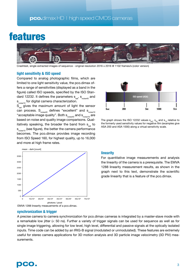### features



Crashtest, single extracted images of sequence - original resolution 2016 x 2016 @ 1102 frames/s (color version)

#### **light sensitivity & ISO speed**

Compared to analog photographic films, which are limited to one light sensitivity value, the pco.dimax offers a range of sensitivities (displayed as a band in the figure) called ISO speeds, specified by the ISO Standard 12232. It defines the parameters  $s_{sat}$ ,  $s_{noise40}$  and s noise10 for digital camera characterization.

 $S_{\text{sat}}$  gives the maximum amount of light the sensor can process.  $S_{noise40}$  defines "excellent" and  $S_{noise10}$ "acceptable image quality". Both  $s_{\text{noise}40}$  and  $s_{\text{noise}10}$  are based on noise and quality image comparisons. Qualitatively speaking, the broader the band from  $s_{\text{out}}$  to  $s_{\text{noise10}}$  (see figure), the better the camera performance becomes. The pco.dimax provides image recording from ISO Speed 160, for highest quality, up to 16,000 and more at high frame rates.



The graph shows the ISO 12232 values  $s_{sat}$ ,  $s_{40}$  and  $s_{10}$  relative to the formerly used sensitivity values for negative film (examples give ASA 200 and ASA 1000) along a virtual sensitivity scale.



#### **linearity**

For quantitative image measurements and analysis the linearity of the camera is a prerequisite. The EMVA 1288 linearity measurement results, as shown in the graph next to this text, demonstrate the scientific grade linearity that is a feature of the pco.dimax.

#### **synchronization & trigger**

A precise camera to camera synchronization for pco.dimax cameras is integrated by a master-slave mode with a remarkable low jitter (< 50 ns). Further a variety of trigger signals can be used for sequence as well as for single image triggering, allowing for low level, high level, differential and passive signals at the optically isolated inputs. Time code can be added by an IRIG-B signal (modulated or unmodulated). These features are extremely useful for stereo camera applications for 3D motion analysis and 3D particle image velocimetry (3D PIV) measurements.

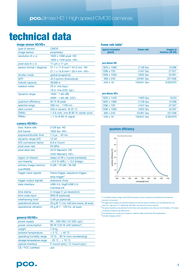## technical data

#### **image sensor HD/HD+**

| type of sensor              | <b>CMOS</b>                                      |
|-----------------------------|--------------------------------------------------|
| image sensor                | proprietary                                      |
| resolution ( $h \times v$ ) | 1920 x 1080 pixel HD                             |
|                             | 1920 x 1440 pixel HD+                            |
| pixel size (h x v)          | 11 $\mu$ m x 11 $\mu$ m                          |
| sensor format / diagonal    | $21.1 \times 11.9$ mm <sup>2</sup> / 24.2 mm HD  |
|                             | $21.1 \times 15.8$ mm <sup>2</sup> / 26.4 mm HD+ |
| shutter mode                | global (snapshot)                                |
| <b>MTF</b>                  | 45.5 lp/mm (theoretical)                         |
| fullwell capacity           | 36000 e-                                         |
| readout noise               | $23 e- rms (typ.)$                               |
|                             | 18 $e^-$ rms (CDI, typ.)                         |
| dynamic range               | 1600:1(64dB)                                     |
|                             | 2000:1(65 dB, CDI <sup>1</sup> )                 |
| quantum efficiency          | 50 % @ peak                                      |
| spectral range              | 290 nm  1100 nm                                  |
| dark current                | 530 e-/pixel/s @ 20 °C                           |
| <b>DSNU</b>                 | $<$ 0.6 cnts, rms @ 90 % center zone             |
| <b>PRNU</b>                 | $<$ 1 % @ 80 % signal                            |
|                             |                                                  |

#### **camera HD/HD+**

| max. frame rate                | 2128 fps HD                            |
|--------------------------------|----------------------------------------|
| (full frame)                   | 1603 fps $HD+$                         |
| exposure/shutter time          | $1.5 \,\mu s$ 40 ms                    |
| dynamic range A/D              | 12 bit                                 |
| A/D conversion factor          | 8.8 e-/count                           |
| pixel scan rate                | <b>55 MHz</b>                          |
| pixel data rate                | 4413 Mpixel/s HD                       |
|                                | 4432 Mpixel/s HD+                      |
| region of interest             | steps of 48 x 4 pixel (centered)       |
| non linearity                  | $< 0.5 %$ (diff.) / $< 0.2$ (integr.)  |
| primary image memory           | 9 GB / 18 GB / 36 GB                   |
| (camRAM)                       |                                        |
| trigger input signals          | frame trigger, sequence trigger,       |
|                                |                                        |
|                                | stop trigger <sup>2</sup>              |
| trigger output signals         | exposure, busy                         |
| data interface                 | USB 3.0, GigE/USB 2.0,                 |
|                                | CameraLink                             |
| time stamp                     | in image (1 µs resolution)             |
| time code input                | IRIG-B (optional)                      |
| interframing time <sup>4</sup> | 3.58 µs (optional)                     |
| operational shock              | 30 g @ 11 ms, half sine wave, all axes |

#### **general HD/HD+**

| <b>MANAGEME STATISTICS</b> |                                         |
|----------------------------|-----------------------------------------|
| power supply               | 90260 VAC (12 VDC opt.)                 |
| power consumption          | 80 W (120 W with battery <sup>5</sup> ) |
| weight                     | 7.9 kg                                  |
| ambient temperature        | $+5 °C + 40 °C$                         |
| operating humidity range   | 10 %  90 % (non-condensing)             |
| storage temperature range  | $-20 °C + 70 °C$                        |
| optical interface          | F-mount (std.) / C-mount (opt.)         |
| CE / FCC certified         | ves                                     |
|                            |                                         |

#### **frame rate table<sup>3</sup>**

| typical examples<br>[pixel] | frame rate | <i>images in</i><br>memory (36 GB) |  |
|-----------------------------|------------|------------------------------------|--|
|                             |            |                                    |  |
| pco.dimax HD                |            |                                    |  |
| 1920 x 1080                 | 2128 fps   | 12298                              |  |
| 1296 x 720                  | 4347 fps   | 27327                              |  |
| 1008 x 1000                 | 3822 fps   | 25297                              |  |
| 480 x 240                   | 23061 fps  | 221036                             |  |
| $240 \times 16$             | 130641 fps | 6325870                            |  |

#### **pco.dimax HD+**

| 1920 x 1440     | 1603 fps   | 9223    |
|-----------------|------------|---------|
| 1920 x 1080     | 2128 fps   | 12298   |
| 1296 x 720      | 4347 fps   | 27327   |
| 1008 x 1000     | 3822 fps   | 25297   |
| 480 x 240       | 23061 fps  | 221036  |
| $240 \times 16$ | 130641 fps | 6325870 |
|                 |            |         |



1 in correlated double image mode (CDI) the readout noise is reduced and therefore the intrascene dynamic is improved.

2 all trigger input signals are optically isolated and various signal conditions can be selected like: low level TTL, high level TTL, differential (RS-485) and passive (contact closure).

3 the given resolutions are selected for the frame rate calculations only, they are not mandatory. For region of interest conditions see table above.<br>4 time between two consecutive images for particle image velocimetry (PIV) applications

5 includes charging current

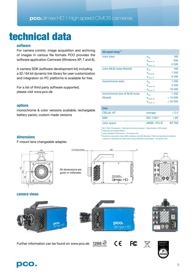## technical data

### **software**

For camera control, image acquisition and archiving of images in various file formats PCO provides the software application Camware (Windows XP, 7 and 8).

A camera SDK (software development kit) including a 32 / 64 bit dynamic link library for user customization and integration on PC platforms is available for free.

For a list of third party software supported, please visit www.pco.de

#### **options**

monochrome & color versions available; rechargable battery packs; custom made versions

| ISO speed rating <sup>1,2</sup> |                           |         |
|---------------------------------|---------------------------|---------|
| color (raw)                     | $\mathbf{S}_{\text{sat}}$ | 160     |
|                                 | $S_{noise, 40}$           | 500     |
|                                 | $S_{noise, 10}$           | 3 200   |
| color (NLM noise filtered)      | $\mathbf{S}_{\text{sat}}$ | 160     |
|                                 | $S_{\text{noise},40}$     | 1 250   |
|                                 | $S_{noise,10}$            | 6400    |
| monochrome (raw)                | $\mathbf{S}_{\text{sat}}$ | 1 250   |
|                                 | $S_{noise, 40}$           | 2 500   |
|                                 | $S_{noise, 10}$           | 16 000  |
| monochrome (raw & NLM noise     | $\mathbf{S}_{\text{sat}}$ | 1 250   |
| filtered)                       | $S_{noise, 40}$           | >10000  |
|                                 | $S_{noise, 10}$           | > 50000 |
| <b>Color</b>                    |                           |         |
| $CIELab \Delta E^3$             | average                   | < 2.4   |
| SMI <sup>4</sup>                | <b>ISO 17321</b>          | > 83    |

<sup>1</sup> ISO 12232: Photography - Electronic still-picture cameras - Determination of ISO speed measured with daylight 6000 K

using a Macbeth Colorchecker - 24 patches color

<sup>4</sup>Sensitivity metamersim index (SMI) is defined in the ISO Standard 17321 and describes the ability of a camera to reproduce accurate colors using a Macbeth Colorchecker - 18 patches color

color space sRGB / ITU-R BT.709

### **dimensions**

F-mount lens changeable adapter.



All dimensions are given in millimeter.

 $-23$  adjustable)





### **camera views**







Further information can be found on www.pco.de

1288

 $C \in$ 

**FC** 

 $\boxtimes$